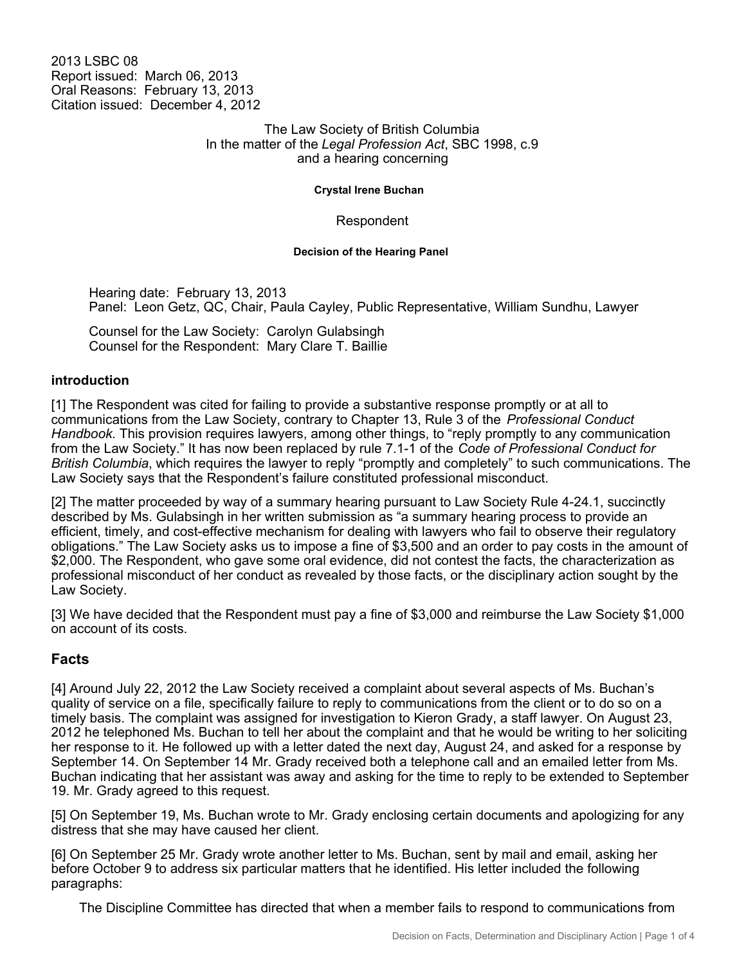2013 LSBC 08 Report issued: March 06, 2013 Oral Reasons: February 13, 2013 Citation issued: December 4, 2012

> The Law Society of British Columbia In the matter of the *Legal Profession Act*, SBC 1998, c.9 and a hearing concerning

> > **Crystal Irene Buchan**

Respondent

**Decision of the Hearing Panel**

Hearing date: February 13, 2013 Panel: Leon Getz, QC, Chair, Paula Cayley, Public Representative, William Sundhu, Lawyer

Counsel for the Law Society: Carolyn Gulabsingh Counsel for the Respondent: Mary Clare T. Baillie

### **introduction**

[1] The Respondent was cited for failing to provide a substantive response promptly or at all to communications from the Law Society, contrary to Chapter 13, Rule 3 of the *Professional Conduct Handbook*. This provision requires lawyers, among other things, to "reply promptly to any communication from the Law Society." It has now been replaced by rule 7.1-1 of the *Code of Professional Conduct for British Columbia*, which requires the lawyer to reply "promptly and completely" to such communications. The Law Society says that the Respondent's failure constituted professional misconduct.

[2] The matter proceeded by way of a summary hearing pursuant to Law Society Rule 4-24.1, succinctly described by Ms. Gulabsingh in her written submission as "a summary hearing process to provide an efficient, timely, and cost-effective mechanism for dealing with lawyers who fail to observe their regulatory obligations." The Law Society asks us to impose a fine of \$3,500 and an order to pay costs in the amount of \$2,000. The Respondent, who gave some oral evidence, did not contest the facts, the characterization as professional misconduct of her conduct as revealed by those facts, or the disciplinary action sought by the Law Society.

[3] We have decided that the Respondent must pay a fine of \$3,000 and reimburse the Law Society \$1,000 on account of its costs.

## **Facts**

[4] Around July 22, 2012 the Law Society received a complaint about several aspects of Ms. Buchan's quality of service on a file, specifically failure to reply to communications from the client or to do so on a timely basis. The complaint was assigned for investigation to Kieron Grady, a staff lawyer. On August 23, 2012 he telephoned Ms. Buchan to tell her about the complaint and that he would be writing to her soliciting her response to it. He followed up with a letter dated the next day, August 24, and asked for a response by September 14. On September 14 Mr. Grady received both a telephone call and an emailed letter from Ms. Buchan indicating that her assistant was away and asking for the time to reply to be extended to September 19. Mr. Grady agreed to this request.

[5] On September 19, Ms. Buchan wrote to Mr. Grady enclosing certain documents and apologizing for any distress that she may have caused her client.

[6] On September 25 Mr. Grady wrote another letter to Ms. Buchan, sent by mail and email, asking her before October 9 to address six particular matters that he identified. His letter included the following paragraphs:

The Discipline Committee has directed that when a member fails to respond to communications from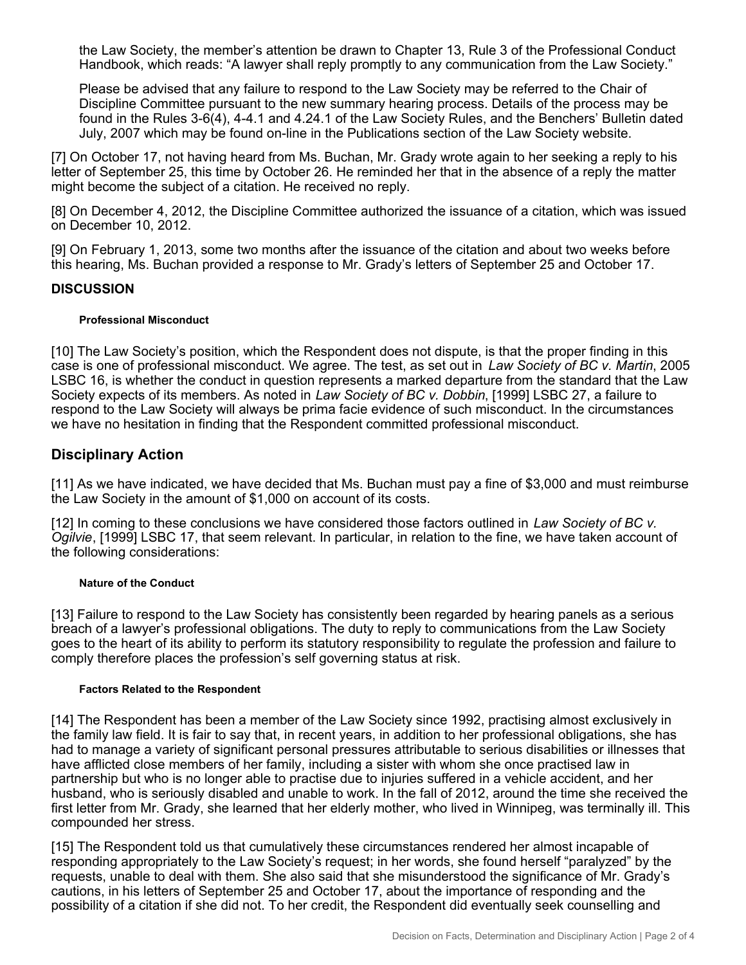the Law Society, the member's attention be drawn to Chapter 13, Rule 3 of the Professional Conduct Handbook, which reads: "A lawyer shall reply promptly to any communication from the Law Society."

Please be advised that any failure to respond to the Law Society may be referred to the Chair of Discipline Committee pursuant to the new summary hearing process. Details of the process may be found in the Rules 3-6(4), 4-4.1 and 4.24.1 of the Law Society Rules, and the Benchers' Bulletin dated July, 2007 which may be found on-line in the Publications section of the Law Society website.

[7] On October 17, not having heard from Ms. Buchan, Mr. Grady wrote again to her seeking a reply to his letter of September 25, this time by October 26. He reminded her that in the absence of a reply the matter might become the subject of a citation. He received no reply.

[8] On December 4, 2012, the Discipline Committee authorized the issuance of a citation, which was issued on December 10, 2012.

[9] On February 1, 2013, some two months after the issuance of the citation and about two weeks before this hearing, Ms. Buchan provided a response to Mr. Grady's letters of September 25 and October 17.

## **DISCUSSION**

#### **Professional Misconduct**

[10] The Law Society's position, which the Respondent does not dispute, is that the proper finding in this case is one of professional misconduct. We agree. The test, as set out in *Law Society of BC v. Martin*, 2005 LSBC 16, is whether the conduct in question represents a marked departure from the standard that the Law Society expects of its members. As noted in *Law Society of BC v. Dobbin*, [1999] LSBC 27, a failure to respond to the Law Society will always be prima facie evidence of such misconduct. In the circumstances we have no hesitation in finding that the Respondent committed professional misconduct.

# **Disciplinary Action**

[11] As we have indicated, we have decided that Ms. Buchan must pay a fine of \$3,000 and must reimburse the Law Society in the amount of \$1,000 on account of its costs.

[12] In coming to these conclusions we have considered those factors outlined in *Law Society of BC v. Ogilvie*, [1999] LSBC 17, that seem relevant. In particular, in relation to the fine, we have taken account of the following considerations:

#### **Nature of the Conduct**

[13] Failure to respond to the Law Society has consistently been regarded by hearing panels as a serious breach of a lawyer's professional obligations. The duty to reply to communications from the Law Society goes to the heart of its ability to perform its statutory responsibility to regulate the profession and failure to comply therefore places the profession's self governing status at risk.

#### **Factors Related to the Respondent**

[14] The Respondent has been a member of the Law Society since 1992, practising almost exclusively in the family law field. It is fair to say that, in recent years, in addition to her professional obligations, she has had to manage a variety of significant personal pressures attributable to serious disabilities or illnesses that have afflicted close members of her family, including a sister with whom she once practised law in partnership but who is no longer able to practise due to injuries suffered in a vehicle accident, and her husband, who is seriously disabled and unable to work. In the fall of 2012, around the time she received the first letter from Mr. Grady, she learned that her elderly mother, who lived in Winnipeg, was terminally ill. This compounded her stress.

[15] The Respondent told us that cumulatively these circumstances rendered her almost incapable of responding appropriately to the Law Society's request; in her words, she found herself "paralyzed" by the requests, unable to deal with them. She also said that she misunderstood the significance of Mr. Grady's cautions, in his letters of September 25 and October 17, about the importance of responding and the possibility of a citation if she did not. To her credit, the Respondent did eventually seek counselling and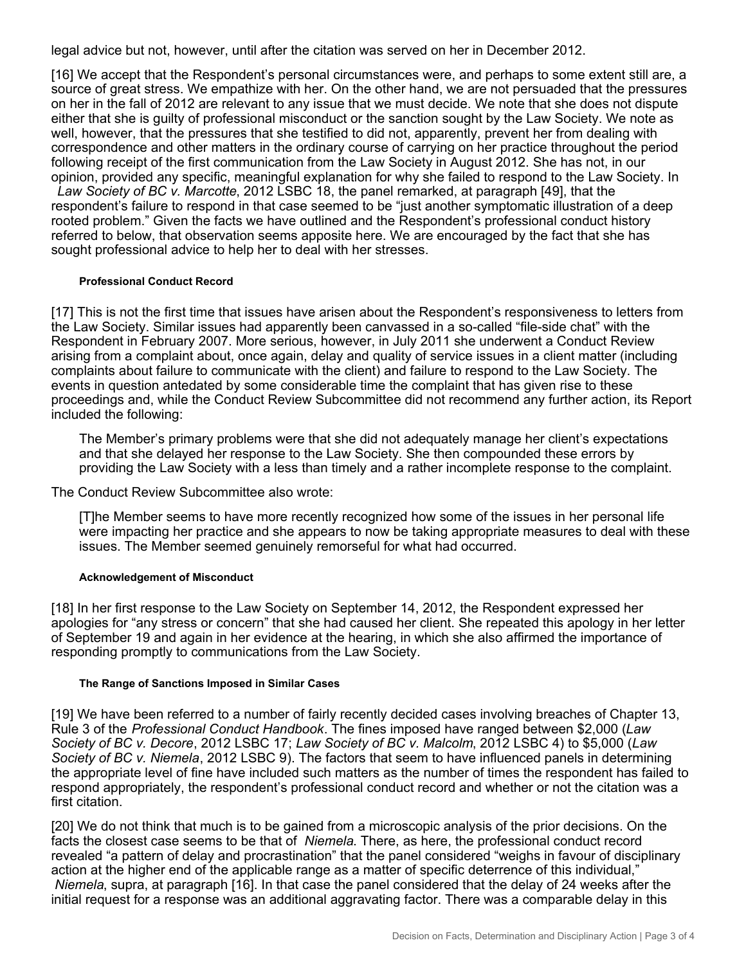legal advice but not, however, until after the citation was served on her in December 2012.

[16] We accept that the Respondent's personal circumstances were, and perhaps to some extent still are, a source of great stress. We empathize with her. On the other hand, we are not persuaded that the pressures on her in the fall of 2012 are relevant to any issue that we must decide. We note that she does not dispute either that she is guilty of professional misconduct or the sanction sought by the Law Society. We note as well, however, that the pressures that she testified to did not, apparently, prevent her from dealing with correspondence and other matters in the ordinary course of carrying on her practice throughout the period following receipt of the first communication from the Law Society in August 2012. She has not, in our opinion, provided any specific, meaningful explanation for why she failed to respond to the Law Society. In *Law Society of BC v. Marcotte*, 2012 LSBC 18, the panel remarked, at paragraph [49], that the respondent's failure to respond in that case seemed to be "just another symptomatic illustration of a deep rooted problem." Given the facts we have outlined and the Respondent's professional conduct history referred to below, that observation seems apposite here. We are encouraged by the fact that she has sought professional advice to help her to deal with her stresses.

### **Professional Conduct Record**

[17] This is not the first time that issues have arisen about the Respondent's responsiveness to letters from the Law Society. Similar issues had apparently been canvassed in a so-called "file-side chat" with the Respondent in February 2007. More serious, however, in July 2011 she underwent a Conduct Review arising from a complaint about, once again, delay and quality of service issues in a client matter (including complaints about failure to communicate with the client) and failure to respond to the Law Society. The events in question antedated by some considerable time the complaint that has given rise to these proceedings and, while the Conduct Review Subcommittee did not recommend any further action, its Report included the following:

The Member's primary problems were that she did not adequately manage her client's expectations and that she delayed her response to the Law Society. She then compounded these errors by providing the Law Society with a less than timely and a rather incomplete response to the complaint.

The Conduct Review Subcommittee also wrote:

[T]he Member seems to have more recently recognized how some of the issues in her personal life were impacting her practice and she appears to now be taking appropriate measures to deal with these issues. The Member seemed genuinely remorseful for what had occurred.

### **Acknowledgement of Misconduct**

[18] In her first response to the Law Society on September 14, 2012, the Respondent expressed her apologies for "any stress or concern" that she had caused her client. She repeated this apology in her letter of September 19 and again in her evidence at the hearing, in which she also affirmed the importance of responding promptly to communications from the Law Society.

#### **The Range of Sanctions Imposed in Similar Cases**

[19] We have been referred to a number of fairly recently decided cases involving breaches of Chapter 13, Rule 3 of the *Professional Conduct Handbook*. The fines imposed have ranged between \$2,000 (*Law Society of BC v. Decore*, 2012 LSBC 17; *Law Society of BC v. Malcolm*, 2012 LSBC 4) to \$5,000 (*Law Society of BC v. Niemela*, 2012 LSBC 9). The factors that seem to have influenced panels in determining the appropriate level of fine have included such matters as the number of times the respondent has failed to respond appropriately, the respondent's professional conduct record and whether or not the citation was a first citation.

[20] We do not think that much is to be gained from a microscopic analysis of the prior decisions. On the facts the closest case seems to be that of *Niemela*. There, as here, the professional conduct record revealed "a pattern of delay and procrastination" that the panel considered "weighs in favour of disciplinary action at the higher end of the applicable range as a matter of specific deterrence of this individual," *Niemela*, supra, at paragraph [16]. In that case the panel considered that the delay of 24 weeks after the initial request for a response was an additional aggravating factor. There was a comparable delay in this